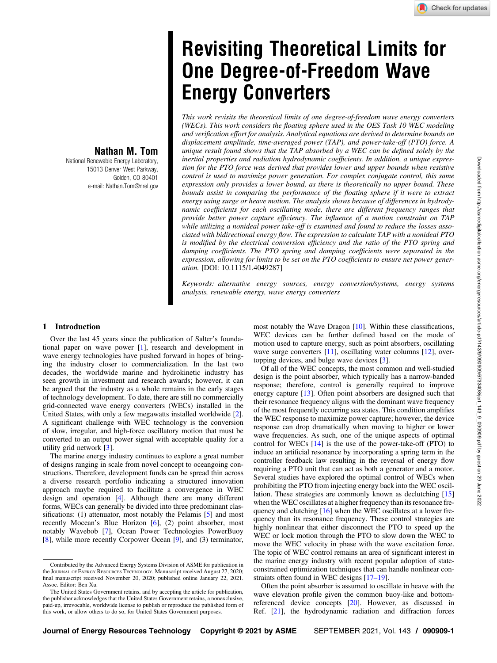# Revisiting Theoretical Limits for One Degree-of-Freedom Wave Energy Converters

This work revisits the theoretical limits of one degree-of-freedom wave energy converters (WECs). This work considers the floating sphere used in the OES Task 10 WEC modeling and verification effort for analysis. Analytical equations are derived to determine bounds on displacement amplitude, time-averaged power (TAP), and power-take-off (PTO) force. A unique result found shows that the TAP absorbed by a WEC can be defined solely by the inertial properties and radiation hydrodynamic coefficients. In addition, a unique expression for the PTO force was derived that provides lower and upper bounds when resistive control is used to maximize power generation. For complex conjugate control, this same expression only provides a lower bound, as there is theoretically no upper bound. These bounds assist in comparing the performance of the floating sphere if it were to extract energy using surge or heave motion. The analysis shows because of differences in hydrodynamic coefficients for each oscillating mode, there are different frequency ranges that provide better power capture efficiency. The influence of a motion constraint on TAP while utilizing a nonideal power take-off is examined and found to reduce the losses associated with bidirectional energy flow. The expression to calculate TAP with a nonideal PTO is modified by the electrical conversion efficiency and the ratio of the PTO spring and damping coefficients. The PTO spring and damping coefficients were separated in the expression, allowing for limits to be set on the PTO coefficients to ensure net power generation. [DOI: 10.1115/1.4049287]

Keywords: alternative energy sources, energy conversion/systems, energy systems analysis, renewable energy, wave energy converters

## Nathan M. Tom

National Renewable Energy Laboratory, 15013 Denver West Parkway, Golden, CO 80401 e-mail: [Nathan.Tom@nrel.gov](mailto:Nathan.Tom@nrel.gov)

### 1 Introduction

Over the last 45 years since the publication of Salter's foundational paper on wave power [\[1\]](#page-7-0), research and development in wave energy technologies have pushed forward in hopes of bringing the industry closer to commercialization. In the last two decades, the worldwide marine and hydrokinetic industry has seen growth in investment and research awards; however, it can be argued that the industry as a whole remains in the early stages of technology development. To date, there are still no commercially grid-connected wave energy converters (WECs) installed in the United States, with only a few megawatts installed worldwide [\[2\]](#page-7-0). A significant challenge with WEC technology is the conversion of slow, irregular, and high-force oscillatory motion that must be converted to an output power signal with acceptable quality for a utility grid network [[3](#page-7-0)].

The marine energy industry continues to explore a great number of designs ranging in scale from novel concept to oceangoing constructions. Therefore, development funds can be spread thin across a diverse research portfolio indicating a structured innovation approach maybe required to facilitate a convergence in WEC design and operation [[4](#page-7-0)]. Although there are many different forms, WECs can generally be divided into three predominant classifications: (1) attenuator, most notably the Pelamis [[5](#page-7-0)] and most recently Mocean's Blue Horizon [[6](#page-7-0)], (2) point absorber, most notably Wavebob [\[7\]](#page-7-0), Ocean Power Technologies PowerBuoy [[8](#page-7-0)], while more recently Corpower Ocean [[9](#page-8-0)], and (3) terminator, most notably the Wave Dragon [\[10](#page-8-0)]. Within these classifications, WEC devices can be further defined based on the mode of motion used to capture energy, such as point absorbers, oscillating wave surge converters [\[11](#page-8-0)], oscillating water columns [[12\]](#page-8-0), overtopping devices, and bulge wave devices [[3](#page-7-0)].

Of all of the WEC concepts, the most common and well-studied design is the point absorber, which typically has a narrow-banded response; therefore, control is generally required to improve energy capture [\[13](#page-8-0)]. Often point absorbers are designed such that their resonance frequency aligns with the dominant wave frequency of the most frequently occurring sea states. This condition amplifies the WEC response to maximize power capture; however, the device response can drop dramatically when moving to higher or lower wave frequencies. As such, one of the unique aspects of optimal control for WECs  $[14]$  $[14]$  is the use of the power-take-off (PTO) to induce an artificial resonance by incorporating a spring term in the controller feedback law resulting in the reversal of energy flow requiring a PTO unit that can act as both a generator and a motor. Several studies have explored the optimal control of WECs when prohibiting the PTO from injecting energy back into the WEC oscillation. These strategies are commonly known as declutching [\[15](#page-8-0)] when the WEC oscillates at a higher frequency than its resonance fre-quency and clutching [\[16](#page-8-0)] when the WEC oscillates at a lower frequency than its resonance frequency. These control strategies are highly nonlinear that either disconnect the PTO to speed up the WEC or lock motion through the PTO to slow down the WEC to move the WEC velocity in phase with the wave excitation force. The topic of WEC control remains an area of significant interest in the marine energy industry with recent popular adoption of stateconstrained optimization techniques that can handle nonlinear constraints often found in WEC designs [17–19].

Often the point absorber is assumed to oscillate in heave with the wave elevation profile given the common buoy-like and bottomreferenced device concepts [\[20](#page-8-0)]. However, as discussed in Ref. [[21\]](#page-8-0), the hydrodynamic radiation and diffraction forces

Contributed by the Advanced Energy Systems Division of ASME for publication in the JOURNAL OF ENERGY RESOURCES TECHNOLOGY. Manuscript received August 27, 2020; final manuscript received November 20, 2020; published online January 22, 2021. Assoc. Editor: Ben Xu.

The United States Government retains, and by accepting the article for publication, the publisher acknowledges that the United States Government retains, a nonexclusive, paid-up, irrevocable, worldwide license to publish or reproduce the published form of this work, or allow others to do so, for United States Government purposes.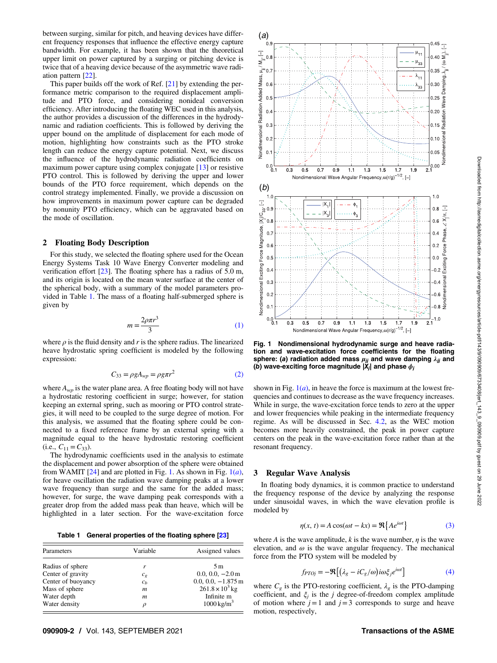<span id="page-1-0"></span>between surging, similar for pitch, and heaving devices have different frequency responses that influence the effective energy capture bandwidth. For example, it has been shown that the theoretical upper limit on power captured by a surging or pitching device is twice that of a heaving device because of the asymmetric wave radiation pattern [[22\]](#page-8-0).

This paper builds off the work of Ref. [[21\]](#page-8-0) by extending the performance metric comparison to the required displacement amplitude and PTO force, and considering nonideal conversion efficiency. After introducing the floating WEC used in this analysis, the author provides a discussion of the differences in the hydrodynamic and radiation coefficients. This is followed by deriving the upper bound on the amplitude of displacement for each mode of motion, highlighting how constraints such as the PTO stroke length can reduce the energy capture potential. Next, we discuss the influence of the hydrodynamic radiation coefficients on maximum power capture using complex conjugate [\[13](#page-8-0)] or resistive PTO control. This is followed by deriving the upper and lower bounds of the PTO force requirement, which depends on the control strategy implemented. Finally, we provide a discussion on how improvements in maximum power capture can be degraded by nonunity PTO efficiency, which can be aggravated based on the mode of oscillation.

#### 2 Floating Body Description

For this study, we selected the floating sphere used for the Ocean Energy Systems Task 10 Wave Energy Converter modeling and verification effort [\[23](#page-8-0)]. The floating sphere has a radius of 5.0 m, and its origin is located on the mean water surface at the center of the spherical body, with a summary of the model parameters provided in Table 1. The mass of a floating half-submerged sphere is given by

$$
m = \frac{2\rho\pi r^3}{3} \tag{1}
$$

where  $\rho$  is the fluid density and r is the sphere radius. The linearized heave hydrostatic spring coefficient is modeled by the following expression:

$$
C_{33} = \rho g A_{wp} = \rho g \pi r^2 \tag{2}
$$

where  $A_{wp}$  is the water plane area. A free floating body will not have a hydrostatic restoring coefficient in surge; however, for station keeping an external spring, such as mooring or PTO control strategies, it will need to be coupled to the surge degree of motion. For this analysis, we assumed that the floating sphere could be connected to a fixed reference frame by an external spring with a magnitude equal to the heave hydrostatic restoring coefficient (i.e.,  $C_{11} = C_{33}$ ).

The hydrodynamic coefficients used in the analysis to estimate the displacement and power absorption of the sphere were obtained from WAMIT  $[24]$  $[24]$  and are plotted in Fig. 1. As shown in Fig.  $1(a)$ , for heave oscillation the radiation wave damping peaks at a lower wave frequency than surge and the same for the added mass; however, for surge, the wave damping peak corresponds with a greater drop from the added mass peak than heave, which will be highlighted in a later section. For the wave-excitation force

Table 1 General properties of the floating sphere [\[23\]](#page-8-0)

| Parameters         | Variable         | Assigned values          |
|--------------------|------------------|--------------------------|
| Radius of sphere   | r                | 5 <sub>m</sub>           |
| Center of gravity  | $c_{g}$          | $0.0, 0.0, -2.0$ m       |
| Center of buoyancy | $c_h$            | $0.0, 0.0, -1.875$ m     |
| Mass of sphere     | $\boldsymbol{m}$ | $261.8 \times 10^{3}$ kg |
| Water depth        | m                | Infinite m               |
| Water density      | $\rho$           | $1000 \,\mathrm{kg/m^3}$ |



Fig. 1 Nondimensional hydrodynamic surge and heave radiation and wave-excitation force coefficients for the floating sphere: (a) radiation added mass  $\mu_{jj}$  and wave damping  $\lambda_{jj}$  and (b) wave-exciting force magnitude IXJ and phase  $\phi_{ij}$ (b) wave-exciting force magnitude  $|X_j|$  and phase  $\phi_j$ 

shown in Fig.  $1(a)$ , in heave the force is maximum at the lowest frequencies and continues to decrease as the wave frequency increases. While in surge, the wave-excitation force tends to zero at the upper and lower frequencies while peaking in the intermediate frequency regime. As will be discussed in Sec. [4.2,](#page-4-0) as the WEC motion becomes more heavily constrained, the peak in power capture centers on the peak in the wave-excitation force rather than at the resonant frequency.

#### 3 Regular Wave Analysis

In floating body dynamics, it is common practice to understand the frequency response of the device by analyzing the response under sinusoidal waves, in which the wave elevation profile is modeled by

$$
\eta(x, t) = A\cos(\omega t - kx) = \Re\{Ae^{i\omega t}\}\tag{3}
$$

where A is the wave amplitude, k is the wave number,  $\eta$  is the wave elevation, and  $\omega$  is the wave angular frequency. The mechanical force from the PTO system will be modeled by

$$
f_{PTOj} = -\Re\left[\left(\lambda_g - iC_g/\omega\right)i\omega\xi_j e^{i\omega t}\right]
$$
 (4)

where  $C_{\varphi}$  is the PTO-restoring coefficient,  $\lambda_{\varphi}$  is the PTO-damping coefficient, and  $\xi_i$  is the *j* degree-of-freedom complex amplitude of motion where  $j = 1$  and  $j = 3$  corresponds to surge and heave motion, respectively,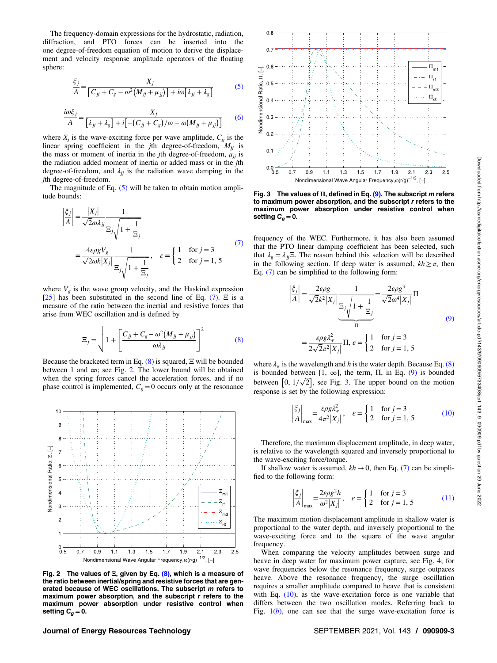<span id="page-2-0"></span>The frequency-domain expressions for the hydrostatic, radiation, diffraction, and PTO forces can be inserted into the one degree-of-freedom equation of motion to derive the displacement and velocity response amplitude operators of the floating sphere:

$$
\frac{\xi_j}{A} = \frac{X_j}{\left[C_{jj} + C_g - \omega^2 \left(M_{jj} + \mu_{jj}\right)\right] + i\omega\left[\lambda_{jj} + \lambda_g\right]}
$$
(5)

$$
\frac{i\omega\xi_j}{A} = \frac{X_j}{\left[\lambda_{jj} + \lambda_g\right] + i\left[-\left(C_{jj} + C_g\right)/\omega + \omega\left(M_{jj} + \mu_{jj}\right)\right]}
$$
(6)

where  $X_j$  is the wave-exciting force per wave amplitude,  $C_{jj}$  is the linear spring coefficient in the jth degree-of-freedom,  $M_{ij}$  is the mass or moment of inertia in the jth degree-of-freedom,  $\mu_{ii}$  is the radiation added moment of inertia or added mass or in the jth degree-of-freedom, and  $\lambda_{jj}$  is the radiation wave damping in the jth degree-of-freedom.

The magnitude of Eq.  $(5)$  will be taken to obtain motion amplitude bounds:

$$
\left|\frac{\xi_j}{A}\right| = \frac{|X_j|}{\sqrt{2}\omega\lambda_{jj}} \frac{1}{\Xi_j \sqrt{1 + \frac{1}{\Xi_j}}} \n= \frac{4\varepsilon \rho g V_g}{\sqrt{2}\omega k |X_j|} \frac{1}{\Xi_j \sqrt{1 + \frac{1}{\Xi_j}}}, \quad \varepsilon = \begin{cases} 1 & \text{for } j = 3 \\ 2 & \text{for } j = 1, 5 \end{cases} \tag{7}
$$

where  $V_g$  is the wave group velocity, and the Haskind expression [[25\]](#page-8-0) has been substituted in the second line of Eq. (7).  $\Xi$  is a measure of the ratio between the inertial and resistive forces that arise from WEC oscillation and is defined by

$$
\Xi_j = \sqrt{1 + \left[\frac{C_{jj} + C_g - \omega^2 (M_{jj} + \mu_{jj})}{\omega \lambda_{jj}}\right]^2}
$$
(8)

Because the bracketed term in Eq.  $(8)$  is squared,  $\Xi$  will be bounded between 1 and  $\infty$ ; see Fig. 2. The lower bound will be obtained when the spring forces cancel the acceleration forces, and if no phase control is implemented,  $C_g = 0$  occurs only at the resonance



Fig. 2 The values of  $\Xi$ , given by Eq. (8), which is a measure of the ratio between inertial/spring and resistive forces that are generated because of WEC oscillations. The subscript m refers to the maximum power absorption, and the subscript r refers to the maximum power absorption, and the subscript r refers to the maximum power absorption under resistive control when setting  $C_q = 0$ .



Fig. 3 The values of  $\Pi$ , defined in Eq. (9). The subscript m refers to maximum power absorption, and the subscript  $r$  refers to the maximum power absorption under resistive control when setting  $C_g = 0$ .

frequency of the WEC. Furthermore, it has also been assumed that the PTO linear damping coefficient has been selected, such that  $\lambda_g = \lambda_{ij} \Xi$ . The reason behind this selection will be described in the following section. If deep water is assumed,  $kh \geq \pi$ , then Eq. (7) can be simplified to the following form:

$$
\left|\frac{\xi_j}{A}\right| = \frac{2\varepsilon\rho g}{\sqrt{2}k^2|X_j|} \frac{1}{\frac{\Xi_j}{\sqrt{1 + \frac{1}{\Xi_j}}}} = \frac{2\varepsilon\rho g^3}{\sqrt{2}\omega^4|X_j|} \Pi
$$
\n
$$
= \frac{\varepsilon\rho g \lambda_w^2}{2\sqrt{2}\pi^2|X_j|} \Pi, \varepsilon = \begin{cases} 1 & \text{for } j = 3\\ 2 & \text{for } j = 1, 5 \end{cases}
$$
\n(9)

where  $\lambda_w$  is the wavelength and h is the water depth. Because Eq. (8) is bounded between [1,  $\infty$ ], the term,  $\Pi$ , in Eq. (9) is bounded between  $[0, 1/\sqrt{2}]$ , see Fig. 3. The upper bound on the motion response is set by the following expression:

$$
\left|\frac{\xi_j}{A}\right|_{\text{max}} = \frac{\varepsilon \rho g \lambda_w^2}{4\pi^2 |X_j|}, \quad \varepsilon = \begin{cases} 1 & \text{for } j = 3\\ 2 & \text{for } j = 1, 5 \end{cases} \tag{10}
$$

Therefore, the maximum displacement amplitude, in deep water, is relative to the wavelength squared and inversely proportional to the wave-exciting force/torque.

If shallow water is assumed,  $kh \rightarrow 0$ , then Eq. (7) can be simplified to the following form:

$$
\left|\frac{\xi_j}{A}\right|_{\text{max}} = \frac{2\varepsilon\rho g^2 h}{\omega^2 |X_j|}, \quad \varepsilon = \begin{cases} 1 & \text{for } j = 3\\ 2 & \text{for } j = 1, 5 \end{cases} \tag{11}
$$

The maximum motion displacement amplitude in shallow water is proportional to the water depth, and inversely proportional to the wave-exciting force and to the square of the wave angular frequency.

When comparing the velocity amplitudes between surge and heave in deep water for maximum power capture, see Fig. [4;](#page-3-0) for wave frequencies below the resonance frequency, surge outpaces heave. Above the resonance frequency, the surge oscillation requires a smaller amplitude compared to heave that is consistent with Eq.  $(10)$ , as the wave-excitation force is one variable that differs between the two oscillation modes. Referring back to Fig.  $1(b)$  $1(b)$ , one can see that the surge wave-excitation force is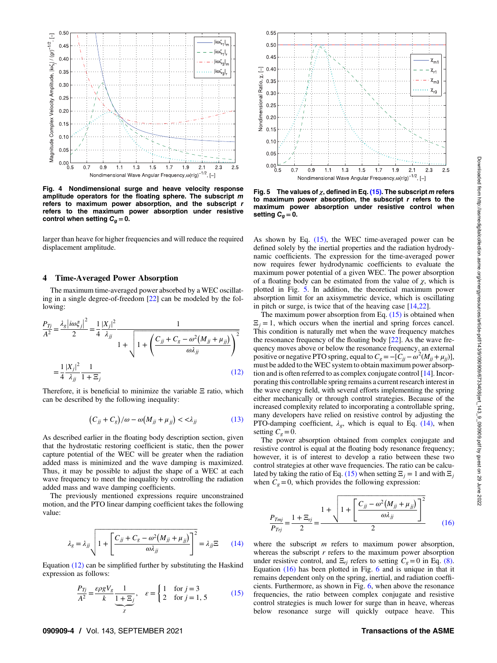<span id="page-3-0"></span>

Fig. 4 Nondimensional surge and heave velocity response amplitude operators for the floating sphere. The subscript m refers to maximum power absorption, and the subscript r refers to the maximum power absorption under resistive control when setting  $C_q = 0$ .

larger than heave for higher frequencies and will reduce the required displacement amplitude.

#### 4 Time-Averaged Power Absorption

The maximum time-averaged power absorbed by a WEC oscillating in a single degree-of-freedom [\[22](#page-8-0)] can be modeled by the following:

$$
\frac{P_{Tj}}{A^2} = \frac{\lambda_g |i\omega\xi_j|^2}{2} = \frac{1}{4} \frac{|X_j|^2}{\lambda_{jj}} \frac{1}{1 + \sqrt{1 + \left(\frac{C_{jj} + C_g - \omega^2 (M_{jj} + \mu_{jj})}{\omega \lambda_{jj}}\right)^2}}
$$
\n
$$
= \frac{1}{4} \frac{|X_j|^2}{\lambda_{jj}} \frac{1}{1 + \Xi_j} \tag{12}
$$

Therefore, it is beneficial to minimize the variable Ξ ratio, which can be described by the following inequality:

$$
(C_{jj} + C_g)/\omega - \omega(M_{jj} + \mu_{jj}) < < \lambda_{jj} \tag{13}
$$

As described earlier in the floating body description section, given that the hydrostatic restoring coefficient is static, then the power capture potential of the WEC will be greater when the radiation added mass is minimized and the wave damping is maximized. Thus, it may be possible to adjust the shape of a WEC at each wave frequency to meet the inequality by controlling the radiation added mass and wave damping coefficients.

The previously mentioned expressions require unconstrained motion, and the PTO linear damping coefficient takes the following value:

$$
\lambda_g = \lambda_{jj} \sqrt{1 + \left[ \frac{C_{jj} + C_g - \omega^2 (M_{jj} + \mu_{jj})}{\omega \lambda_{jj}} \right]^2} = \lambda_{jj} \Xi \qquad (14)
$$

Equation (12) can be simplified further by substituting the Haskind expression as follows:

$$
\frac{P_{Tj}}{A^2} = \frac{\varepsilon \rho g V_g}{k} \frac{1}{1 + \Xi_j}, \quad \varepsilon = \begin{cases} 1 & \text{for } j = 3\\ 2 & \text{for } j = 1, 5 \end{cases} \tag{15}
$$



Fig. 5 The values of  $\chi$ , defined in Eq. (15). The subscript m refers to maximum power absorption, the subscript  $r$  refers to the maximum power absorption under resistive control when setting  $C_g = 0$ .

As shown by Eq. (15), the WEC time-averaged power can be defined solely by the inertial properties and the radiation hydrodynamic coefficients. The expression for the time-averaged power now requires fewer hydrodynamic coefficients to evaluate the maximum power potential of a given WEC. The power absorption of a floating body can be estimated from the value of  $\chi$ , which is plotted in Fig. 5. In addition, the theoretical maximum power absorption limit for an axisymmetric device, which is oscillating in pitch or surge, is twice that of the heaving case [\[14,22\]](#page-8-0).

The maximum power absorption from Eq.  $(15)$  is obtained when  $\Xi_i = 1$ , which occurs when the inertial and spring forces cancel. This condition is naturally met when the wave frequency matches the resonance frequency of the floating body  $[22]$  $[22]$ . As the wave frequency moves above or below the resonance frequency, an external positive or negative PTO spring, equal to  $C_g = -[C_{jj} - \omega^2 (M_{jj} + \mu_{jj})]$ , must be added to the WEC system to obtain maximum power absorption and is often referred to as complex conjugate control [[14\]](#page-8-0). Incorporating this controllable spring remains a current research interest in the wave energy field, with several efforts implementing the spring either mechanically or through control strategies. Because of the increased complexity related to incorporating a controllable spring, many developers have relied on resistive control by adjusting the PTO-damping coefficient,  $\lambda_g$ , which is equal to Eq. (14), when setting  $C_e=0$ .

The power absorption obtained from complex conjugate and resistive control is equal at the floating body resonance frequency; however, it is of interest to develop a ratio between these two control strategies at other wave frequencies. The ratio can be calculated by taking the ratio of Eq. (15) when setting  $\Xi_j = 1$  and with  $\Xi_j$ when  $C_g = 0$ , which provides the following expression:

$$
\frac{P_{Tmj}}{P_{Trj}} = \frac{1 + \Xi_{rj}}{2} = \frac{1 + \sqrt{1 + \left[\frac{C_{jj} - \omega^2 (M_{jj} + \mu_{jj})}{\omega \lambda_{jj}}\right]^2}}{2}
$$
(16)

where the subscript  $m$  refers to maximum power absorption, whereas the subscript  $r$  refers to the maximum power absorption under resistive control, and  $\Xi_{ri}$  refers to setting  $C_g=0$  in Eq. [\(8\).](#page-2-0) Equation (16) has been plotted in Fig. [6](#page-4-0) and is unique in that it remains dependent only on the spring, inertial, and radiation coefficients. Furthermore, as shown in Fig. [6,](#page-4-0) when above the resonance frequencies, the ratio between complex conjugate and resistive control strategies is much lower for surge than in heave, whereas below resonance surge will quickly outpace heave. This

#### 090909-4 / Vol. 143, SEPTEMBER 2021 **Transactions of the ASME**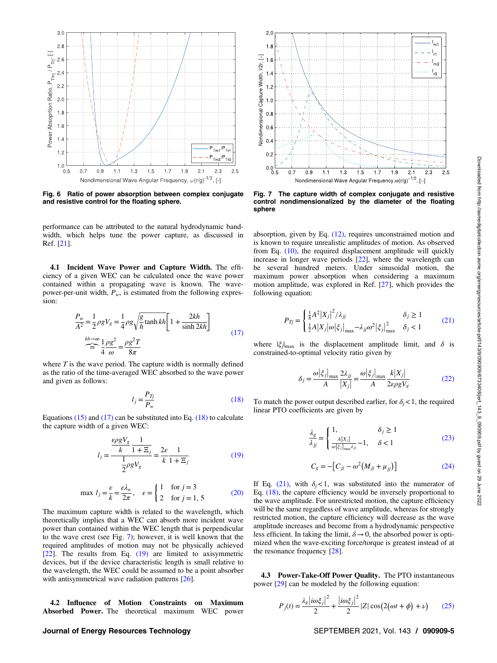<span id="page-4-0"></span>

Fig. 6 Ratio of power absorption between complex conjugate and resistive control for the floating sphere.

performance can be attributed to the natural hydrodynamic bandwidth, which helps tune the power capture, as discussed in Ref. [[21\]](#page-8-0).

4.1 Incident Wave Power and Capture Width. The efficiency of a given WEC can be calculated once the wave power contained within a propagating wave is known. The wavepower-per-unit width,  $P_w$ , is estimated from the following expression:

$$
\frac{P_w}{A^2} = \frac{1}{2}\rho g V_g = \frac{1}{4}\rho g \sqrt{\frac{g}{h}} \tanh kh \left[ 1 + \frac{2kh}{\sinh 2kh} \right]
$$
\n
$$
\sum_{k=h \to \infty}^{kh \to \infty} \frac{1}{4} \frac{\rho g^2}{\omega} = \frac{\rho g^2 T}{8\pi}
$$
\n(17)

where  $T$  is the wave period. The capture width is normally defined as the ratio of the time-averaged WEC absorbed to the wave power and given as follows:

$$
l_j = \frac{P_{Tj}}{P_w} \tag{18}
$$

Equations  $(15)$  and  $(17)$  can be substituted into Eq.  $(18)$  to calculate the capture width of a given WEC:

$$
l_j = \frac{\frac{\varepsilon \rho g V_g}{k} \frac{1}{1 + \Xi_j}}{\frac{1}{2} \rho g V_g} = \frac{2\varepsilon}{k} \frac{1}{1 + \Xi_j}
$$
(19)

$$
\max l_j = \frac{\varepsilon}{k} = \frac{\varepsilon \lambda_w}{2\pi}, \quad \varepsilon = \begin{cases} 1 & \text{for } j = 3 \\ 2 & \text{for } j = 1, 5 \end{cases} \tag{20}
$$

The maximum capture width is related to the wavelength, which theoretically implies that a WEC can absorb more incident wave power than contained within the WEC length that is perpendicular to the wave crest (see Fig. 7); however, it is well known that the required amplitudes of motion may not be physically achieved [[22\]](#page-8-0). The results from Eq. (19) are limited to axisymmetric devices, but if the device characteristic length is small relative to the wavelength, the WEC could be assumed to be a point absorber with antisymmetrical wave radiation patterns [[26\]](#page-8-0).

4.2 Influence of Motion Constraints on Maximum Absorbed Power. The theoretical maximum WEC power

### Journal of Energy Resources Technology **SEPTEMBER 2021, Vol. 143 / 090909-5**



Fig. 7 The capture width of complex conjugate and resistive control nondimensionalized by the diameter of the floating sphere

absorption, given by Eq. [\(12\)](#page-3-0), requires unconstrained motion and is known to require unrealistic amplitudes of motion. As observed from Eq. [\(10\),](#page-2-0) the required displacement amplitude will quickly increase in longer wave periods [\[22](#page-8-0)], where the wavelength can be several hundred meters. Under sinusoidal motion, the maximum power absorption when considering a maximum motion amplitude, was explored in Ref. [[27\]](#page-8-0), which provides the following equation:

$$
P_{Tj} = \begin{cases} \frac{1}{8}A^2 |X_j|^2 / \lambda_{jj} & \delta_j \ge 1\\ \frac{1}{2}A |X_j| \omega |\xi_j|_{\text{max}} - \lambda_{jj} \omega^2 |\xi_j|_{\text{max}}^2 & \delta_j < 1 \end{cases}
$$
(21)

where  $|\xi_i|_{\text{max}}$  is the displacement amplitude limit, and  $\delta$  is constrained-to-optimal velocity ratio given by

$$
\delta_j = \frac{\omega |\xi_j|_{\text{max}}}{A} \frac{2\lambda_{jj}}{|X_j|} = \frac{\omega |\xi_j|_{\text{max}}}{A} \frac{k|X_j|}{2\varepsilon \rho g V_g} \tag{22}
$$

To match the power output described earlier, for  $\delta_i < 1$ , the required linear PTO coefficients are given by

$$
\frac{\lambda_g}{\lambda_{jj}} = \begin{cases} 1, & \delta_j \ge 1 \\ \frac{A|X_j|}{\omega|\xi_j|_{\max} \lambda_{jj}} - 1, & \delta < 1 \end{cases}
$$
\n(23)

$$
C_g = -[C_{jj} - \omega^2 (M_{jj} + \mu_{jj})]
$$
 (24)

If Eq. (21), with  $\delta_i < 1$ , was substituted into the numerator of Eq. (18), the capture efficiency would be inversely proportional to the wave amplitude. For unrestricted motion, the capture efficiency will be the same regardless of wave amplitude, whereas for strongly restricted motion, the capture efficiency will decrease as the wave amplitude increases and become from a hydrodynamic perspective less efficient. In taking the limit,  $\delta \rightarrow 0$ , the absorbed power is optimized when the wave-exciting force/torque is greatest instead of at the resonance frequency [\[28](#page-8-0)].

4.3 Power-Take-Off Power Quality. The PTO instantaneous power [[29\]](#page-8-0) can be modeled by the following equation:

$$
P_j(t) = \frac{\lambda_g \left| i\omega \xi_j \right|^2}{2} + \frac{\left| i\omega \xi_j \right|^2}{2} |Z| \cos \left( 2(\omega t + \phi) + \nu \right) \tag{25}
$$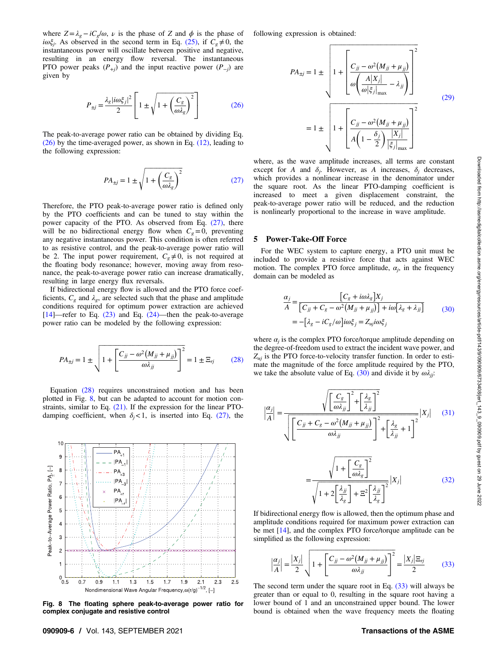<span id="page-5-0"></span>where  $Z = \lambda_{\varphi} - iC_{\varphi}/\omega$ ,  $\nu$  is the phase of Z and  $\phi$  is the phase of  $i\omega\xi_i$ . As observed in the second term in Eq. [\(25\)](#page-4-0), if  $C_g \neq 0$ , the instantaneous power will oscillate between positive and negative, resulting in an energy flow reversal. The instantaneous PTO power peaks  $(P_{+j})$  and the input reactive power  $(P_{-j})$  are given by

$$
P_{\pm j} = \frac{\lambda_g |i\omega \xi_j|^2}{2} \left[ 1 \pm \sqrt{1 + \left(\frac{C_g}{\omega \lambda_g}\right)^2} \right]
$$
 (26)

The peak-to-average power ratio can be obtained by dividing Eq. (26) by the time-averaged power, as shown in Eq. [\(12\)](#page-3-0), leading to the following expression:

$$
PA_{\pm j} = 1 \pm \sqrt{1 + \left(\frac{C_g}{\omega \lambda_g}\right)^2} \tag{27}
$$

Therefore, the PTO peak-to-average power ratio is defined only by the PTO coefficients and can be tuned to stay within the power capacity of the PTO. As observed from Eq. (27), there will be no bidirectional energy flow when  $C<sub>g</sub>=0$ , preventing any negative instantaneous power. This condition is often referred to as resistive control, and the peak-to-average power ratio will be 2. The input power requirement,  $C_g \neq 0$ , is not required at the floating body resonance; however, moving away from resonance, the peak-to-average power ratio can increase dramatically, resulting in large energy flux reversals.

If bidirectional energy flow is allowed and the PTO force coefficients,  $C_g$  and  $\lambda_g$ , are selected such that the phase and amplitude conditions required for optimum power extraction are achieved  $[14]$  $[14]$ —refer to Eq.  $(23)$  and Eq.  $(24)$ —then the peak-to-average power ratio can be modeled by the following expression:

$$
PA_{\pm j} = 1 \pm \sqrt{1 + \left[\frac{C_{jj} - \omega^2 (M_{jj} + \mu_{jj})}{\omega \lambda_{jj}}\right]^2} = 1 \pm \Xi_{rj}
$$
 (28)

Equation (28) requires unconstrained motion and has been plotted in Fig. 8, but can be adapted to account for motion constraints, similar to Eq. [\(21\)](#page-4-0). If the expression for the linear PTOdamping coefficient, when  $\delta_i < 1$ , is inserted into Eq. (27), the



Fig. 8 The floating sphere peak-to-average power ratio for complex conjugate and resistive control

following expression is obtained:

$$
PA_{\pm j} = 1 \pm \sqrt{1 + \left[\frac{C_{jj} - \omega^2 (M_{jj} + \mu_{jj})}{\omega \left(\frac{A|X_j|}{\omega |\xi_j|_{\text{max}}} - \lambda_{jj}\right)}\right]^2}
$$
  
=  $1 \pm \sqrt{1 + \left[\frac{C_{jj} - \omega^2 (M_{jj} + \mu_{jj})}{A \left(1 - \frac{\delta_j}{2}\right) \frac{|X_j|}{|\xi_j|_{\text{max}}}}\right]^2}$  (29)

where, as the wave amplitude increases, all terms are constant except for A and  $\delta_i$ . However, as A increases,  $\delta_i$  decreases, which provides a nonlinear increase in the denominator under the square root. As the linear PTO-damping coefficient is increased to meet a given displacement constraint, the peak-to-average power ratio will be reduced, and the reduction is nonlinearly proportional to the increase in wave amplitude.

#### 5 Power-Take-Off Force

=

For the WEC system to capture energy, a PTO unit must be included to provide a resistive force that acts against WEC motion. The complex PTO force amplitude,  $\alpha_i$ , in the frequency domain can be modeled as

$$
\frac{\alpha_j}{A} = \frac{\left[C_g + i\omega\lambda_g\right]X_j}{\left[C_{jj} + C_g - \omega^2 \left(M_{jj} + \mu_{jj}\right)\right] + i\omega\left[\lambda_g + \lambda_{jj}\right]}
$$
\n
$$
= -\left[\lambda_g - iC_g/\omega\right]i\omega\xi_j = Z_{uj}i\omega\xi_j
$$
\n(30)

where  $\alpha_i$  is the complex PTO force/torque amplitude depending on the degree-of-freedom used to extract the incident wave power, and  $Z_{ui}$  is the PTO force-to-velocity transfer function. In order to estimate the magnitude of the force amplitude required by the PTO, we take the absolute value of Eq. (30) and divide it by  $\omega \lambda_{ij}$ :

$$
\left|\frac{\alpha_j}{A}\right| = \frac{\sqrt{\left[\frac{C_g}{\omega \lambda_{jj}}\right]^2 + \left[\frac{\lambda_g}{\lambda_{jj}}\right]^2}}{\sqrt{\left[\frac{C_{jj} + C_g - \omega^2 (M_{jj} + \mu_{jj})}{\omega \lambda_{jj}}\right]^2 + \left[\frac{\lambda_g}{\lambda_{jj}} + 1\right]^2}} |X_j| \quad (31)
$$

$$
-\frac{\sqrt{1+\left[\frac{C_g}{\omega\lambda_g}\right]^2}}{\sqrt{1+2\left[\frac{\lambda_{jj}}{\lambda_g}\right]+ \Xi^2\left[\frac{\lambda_{jj}}{\lambda_g}\right]^2}}|X_j|
$$
(32)

If bidirectional energy flow is allowed, then the optimum phase and amplitude conditions required for maximum power extraction can be met [[14\]](#page-8-0), and the complex PTO force/torque amplitude can be simplified as the following expression:

$$
\left|\frac{\alpha_j}{A}\right| = \frac{|X_j|}{2} \sqrt{1 + \left[\frac{C_{jj} - \omega^2 (M_{jj} + \mu_{jj})}{\omega \lambda_{jj}}\right]^2} = \frac{|X_j| \Xi_{rj}}{2} \tag{33}
$$

The second term under the square root in Eq. (33) will always be greater than or equal to 0, resulting in the square root having a lower bound of 1 and an unconstrained upper bound. The lower bound is obtained when the wave frequency meets the floating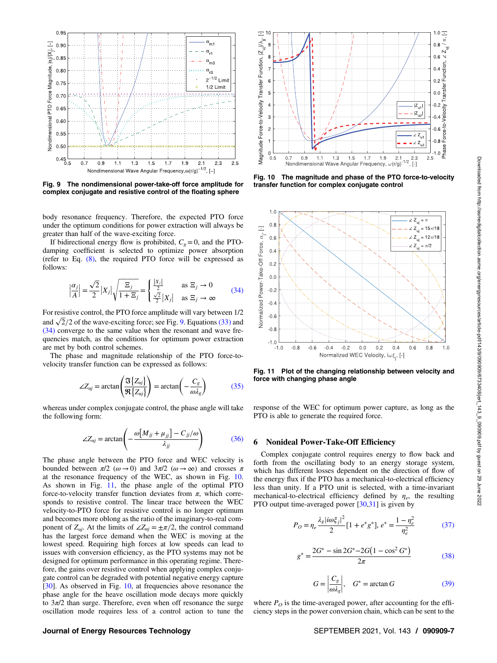<span id="page-6-0"></span>

Fig. 9 The nondimensional power-take-off force amplitude for complex conjugate and resistive control of the floating sphere

body resonance frequency. Therefore, the expected PTO force under the optimum conditions for power extraction will always be greater than half of the wave-exciting force.

If bidirectional energy flow is prohibited,  $C<sub>g</sub> = 0$ , and the PTOdamping coefficient is selected to optimize power absorption (refer to Eq.  $(8)$ , the required PTO force will be expressed as follows:

$$
\left|\frac{\alpha_j}{A}\right| = \frac{\sqrt{2}}{2}|X_j|\sqrt{\frac{\Xi_j}{1+\Xi_j}} = \begin{cases} \frac{|X_j|}{2} & \text{as } \Xi_j \to 0\\ \frac{\sqrt{2}}{2}|X_j| & \text{as } \Xi_j \to \infty \end{cases} \tag{34}
$$

For resistive control, the PTO force amplitude will vary between 1/2 and  $\sqrt{2}/2$  of the wave-exciting force; see Fig. 9. Equations [\(33\)](#page-5-0) and (34) converge to the same value when the resonant and wave frequencies match, as the conditions for optimum power extraction are met by both control schemes.

The phase and magnitude relationship of the PTO force-tovelocity transfer function can be expressed as follows:

$$
\angle Z_{uj} = \arctan\left(\frac{\mathfrak{F}\{Z_{uj}\}}{\mathfrak{R}\{Z_{uj}\}}\right) = \arctan\left(-\frac{C_g}{\omega \lambda_g}\right) \tag{35}
$$

whereas under complex conjugate control, the phase angle will take the following form:

$$
\angle Z_{uj} = \arctan\left(-\frac{\omega \left[M_{jj} + \mu_{jj}\right] - C_{jj}/\omega}{\lambda_{jj}}\right) \tag{36}
$$

The phase angle between the PTO force and WEC velocity is bounded between  $\pi/2$  ( $\omega \rightarrow 0$ ) and  $3\pi/2$  ( $\omega \rightarrow \infty$ ) and crosses  $\pi$ at the resonance frequency of the WEC, as shown in Fig. 10. As shown in Fig. 11, the phase angle of the optimal PTO force-to-velocity transfer function deviates from  $\pi$ , which corresponds to resistive control. The linear trace between the WEC velocity-to-PTO force for resistive control is no longer optimum and becomes more oblong as the ratio of the imaginary-to-real component of  $Z_{ui}$ . At the limits of  $\angle Z_{ui} = \pm \pi/2$ , the control command has the largest force demand when the WEC is moving at the lowest speed. Requiring high forces at low speeds can lead to issues with conversion efficiency, as the PTO systems may not be designed for optimum performance in this operating regime. Therefore, the gains over resistive control when applying complex conjugate control can be degraded with potential negative energy capture [[30\]](#page-8-0). As observed in Fig. 10, at frequencies above resonance the phase angle for the heave oscillation mode decays more quickly to  $3\pi/2$  than surge. Therefore, even when off resonance the surge oscillation mode requires less of a control action to tune the



Fig. 10 The magnitude and phase of the PTO force-to-velocity transfer function for complex conjugate control



Fig. 11 Plot of the changing relationship between velocity and force with changing phase angle

response of the WEC for optimum power capture, as long as the PTO is able to generate the required force.

#### 6 Nonideal Power-Take-Off Efficiency

Complex conjugate control requires energy to flow back and forth from the oscillating body to an energy storage system, which has different losses dependent on the direction of flow of the energy flux if the PTO has a mechanical-to-electrical efficiency less than unity. If a PTO unit is selected, with a time-invariant mechanical-to-electrical efficiency defined by  $\eta_e$ , the resulting PTO output time-averaged power  $[30,31]$  $[30,31]$  $[30,31]$  $[30,31]$  is given by

$$
P_O = \eta_e \frac{\lambda_g |i\omega\xi_j|^2}{2} [1 + e^* g^*], e^* = \frac{1 - \eta_e^2}{\eta_e^2}
$$
(37)

$$
g^* = \frac{2G^* - \sin 2G^* - 2G\left(1 - \cos^2 G^*\right)}{2\pi} \tag{38}
$$

$$
G = \left| \frac{C_g}{\omega \lambda_g} \right|, \quad G^* = \arctan G \tag{39}
$$

where  $P<sub>O</sub>$  is the time-averaged power, after accounting for the efficiency steps in the power conversion chain, which can be sent to the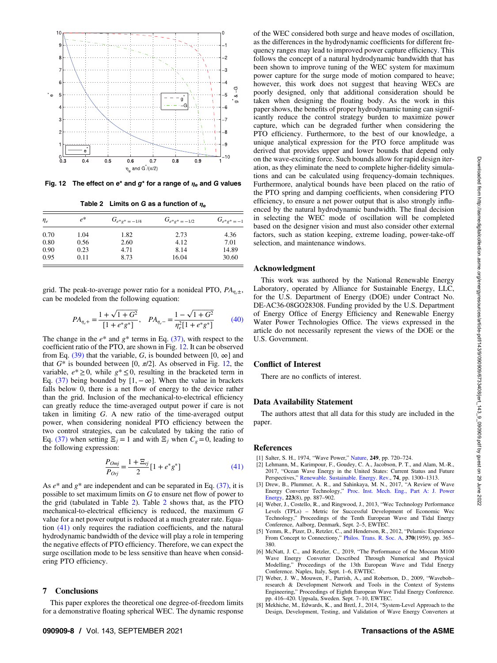<span id="page-7-0"></span>

Fig. 12 The effect on e<sup>\*</sup> and  $g^*$  for a range of  $\eta_e$  and G values

Table 2 Limits on G as a function of  $\eta_e$ 

| $\eta_e$ | $e^*$ | $G_{e^*e^*=-1/4}$ | $G_{e^*e^*=-1/2}$ | $G_{e^*e^*=-1}$ |
|----------|-------|-------------------|-------------------|-----------------|
| 0.70     | 1.04  | 1.82              | 2.73              | 4.36            |
| 0.80     | 0.56  | 2.60              | 4.12              | 7.01            |
| 0.90     | 0.23  | 4.71              | 8.14              | 14.89           |
| 0.95     | 0.11  | 8.73              | 16.04             | 30.60           |

grid. The peak-to-average power ratio for a nonideal PTO,  $PA_{n,\pm}$ , can be modeled from the following equation:

$$
PA_{\eta_e+} = \frac{1 + \sqrt{1 + G^2}}{[1 + e^* g^*]}, \quad PA_{\eta_e-} = \frac{1 - \sqrt{1 + G^2}}{\eta_e^2 [1 + e^* g^*]}
$$
 (40)

The change in the  $e^*$  and  $g^*$  terms in Eq. [\(37\)](#page-6-0), with respect to the coefficient ratio of the PTO, are shown in Fig. 12. It can be observed from Eq. [\(39\)](#page-6-0) that the variable, G, is bounded between [0,  $\infty$ ] and that  $G^*$  is bounded between [0,  $\pi/2$ ]. As observed in Fig. 12, the variable,  $e^* \geq 0$ , while  $g^* \leq 0$ , resulting in the bracketed term in Eq. [\(37\)](#page-6-0) being bounded by [1,  $-\infty$ ]. When the value in brackets falls below 0, there is a net flow of energy to the device rather than the grid. Inclusion of the mechanical-to-electrical efficiency can greatly reduce the time-averaged output power if care is not taken in limiting G. A new ratio of the time-averaged output power, when considering nonideal PTO efficiency between the two control strategies, can be calculated by taking the ratio of Eq. [\(37\)](#page-6-0) when setting  $\Xi_i = 1$  and with  $\Xi_i$  when  $C_{\varphi} = 0$ , leading to the following expression:

$$
\frac{P_{Omj}}{P_{Orj}} = \frac{1 + \Xi_{rj}}{2} [1 + e^* g^*]
$$
\n(41)

As  $e^*$  and  $g^*$  are independent and can be separated in Eq. [\(37\),](#page-6-0) it is possible to set maximum limits on G to ensure net flow of power to the grid (tabulated in Table 2). Table 2 shows that, as the PTO mechanical-to-electrical efficiency is reduced, the maximum G value for a net power output is reduced at a much greater rate. Equation (41) only requires the radiation coefficients, and the natural hydrodynamic bandwidth of the device will play a role in tempering the negative effects of PTO efficiency. Therefore, we can expect the surge oscillation mode to be less sensitive than heave when considering PTO efficiency.

#### 7 Conclusions

This paper explores the theoretical one degree-of-freedom limits for a demonstrative floating spherical WEC. The dynamic response of the WEC considered both surge and heave modes of oscillation, as the differences in the hydrodynamic coefficients for different frequency ranges may lead to improved power capture efficiency. This follows the concept of a natural hydrodynamic bandwidth that has been shown to improve tuning of the WEC system for maximum power capture for the surge mode of motion compared to heave; however, this work does not suggest that heaving WECs are poorly designed, only that additional consideration should be taken when designing the floating body. As the work in this paper shows, the benefits of proper hydrodynamic tuning can significantly reduce the control strategy burden to maximize power capture, which can be degraded further when considering the PTO efficiency. Furthermore, to the best of our knowledge, a unique analytical expression for the PTO force amplitude was derived that provides upper and lower bounds that depend only on the wave-exciting force. Such bounds allow for rapid design iteration, as they eliminate the need to complete higher-fidelity simulations and can be calculated using frequency-domain techniques. Furthermore, analytical bounds have been placed on the ratio of the PTO spring and damping coefficients, when considering PTO efficiency, to ensure a net power output that is also strongly influenced by the natural hydrodynamic bandwidth. The final decision in selecting the WEC mode of oscillation will be completed based on the designer vision and must also consider other external factors, such as station keeping, extreme loading, power-take-off selection, and maintenance windows.

#### Acknowledgment

This work was authored by the National Renewable Energy Laboratory, operated by Alliance for Sustainable Energy, LLC, for the U.S. Department of Energy (DOE) under Contract No. DE-AC36-08GO28308. Funding provided by the U.S. Department of Energy Office of Energy Efficiency and Renewable Energy Water Power Technologies Office. The views expressed in the article do not necessarily represent the views of the DOE or the U.S. Government.

### Conflict of Interest

There are no conflicts of interest.

#### Data Availability Statement

The authors attest that all data for this study are included in the paper.

#### References

- [1] Salter, S. H., 1974, "Wave Power," [Nature](http://dx.doi.org/10.1038/249720a0), 249, pp. 720–724.
- [2] Lehmann, M., Karimpour, F., Goudey, C. A., Jacobson, P. T., and Alam, M.-R., 2017, "Ocean Wave Energy in the United States: Current Status and Future Perspectives," [Renewable. Sustainable. Energy. Rev.](http://dx.doi.org/10.1016/j.rser.2016.11.101), 74, pp. 1300–1313.
- [3] Drew, B., Plummer, A. R., and Sahinkaya, M. N., 2017, "A Review of Wave Energy Converter Technology," [Proc. Inst. Mech. Eng., Part A: J. Power](http://dx.doi.org/10.1243/09576509JPE782) [Energy](http://dx.doi.org/10.1243/09576509JPE782), 223(8), pp. 887–902.
- [4] Weber, J., Costello, R., and Ringwood, J., 2013, "Wec Technology Performance Levels (TPLs) – Metric for Successful Development of Economic Wec Technology," Proceedings of the Tenth European Wave and Tidal Energy Conference, Aalborg, Denmark, Sept. 2–5, EWTEC.
- [5] Yemm, R., Pizer, D., Retzler, C., and Henderson, R., 2012, "Pelamis: Experience From Concept to Connectiony," [Philos. Trans. R. Soc. A,](https://dx.doi.org/10.1098/rsta.2011.0312) 370(1959), pp. 365– 380.
- [6] McNatt, J. C., and Retzler, C., 2019, "The Performance of the Mocean M100 Wave Energy Converter Described Through Numerical and Physical Modelling," Proceedings of the 13th European Wave and Tidal Energy Conference. Naples, Italy, Sept. 1–6, EWTEC.
- [7] Weber, J. W., Mouwen, F., Parrish, A., and Robertson, D., 2009, "Wavebob– research & Development Network and Tools in the Context of Systems Engineering," Proceedings of Eighth European Wave Tidal Energy Conference. pp. 416–420. Uppsala, Sweden. Sept. 7–10, EWTEC.
- [8] Mekhiche, M., Edwards, K., and Bretl, J., 2014, "System-Level Approach to the Design, Development, Testing, and Validation of Wave Energy Converters at